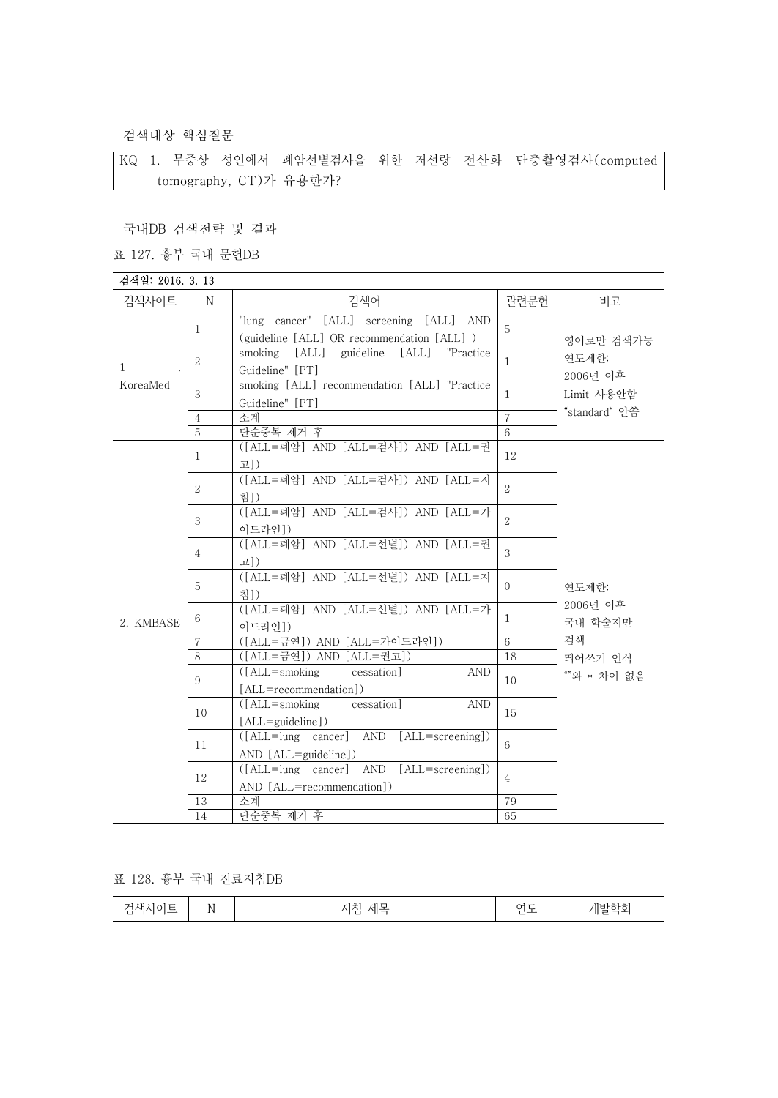검색대상 핵심질문

KQ 1. 무증상 성인에서 폐암선별검사을 위한 저선량 전산화 단층촬영검사(computed tomography, CT)가 유용한가?

국내DB 검색전략 및 결과

표 127. 흉부 국내 문헌DB

| 검색일: 2016. 3. 13         |                |                                                                                       |                 |                                                              |
|--------------------------|----------------|---------------------------------------------------------------------------------------|-----------------|--------------------------------------------------------------|
| 검색사이트                    | N              | 검색어                                                                                   | 관련문헌            | 비고                                                           |
| $\mathbf{1}$<br>KoreaMed | $\mathbf{1}$   | "lung cancer" [ALL] screening [ALL] AND<br>(guideline [ALL] OR recommendation [ALL] ) | 5               | 영어로만 검색가능                                                    |
|                          | $\overline{2}$ | smoking<br>[ALL] guideline<br>[ALL]<br>"Practice<br>Guideline" [PT]                   | 1               | 연도제한:<br>2006년 이후                                            |
|                          | 3              | smoking [ALL] recommendation [ALL] "Practice<br>Guideline" [PT]                       | 1               | Limit 사용안함                                                   |
|                          | $\overline{4}$ | 소계                                                                                    | $\overline{7}$  | "standard" 안씀                                                |
|                          | $\overline{5}$ | 단순중복 제거 후                                                                             | 6               |                                                              |
| 2. KMBASE                | 1              | ([ALL=폐암] AND [ALL=검사]) AND [ALL=권<br>고])                                             | 12              | 연도제한:<br>2006년 이후<br>국내 학술지만<br>검색<br>띄어쓰기 인식<br>""와 * 차이 없음 |
|                          | 2              | ([ALL=폐암] AND [ALL=검사]) AND [ALL=지<br>침])                                             | $\overline{2}$  |                                                              |
|                          | 3              | ([ALL=폐암] AND [ALL=검사]) AND [ALL=가<br>이드라인])                                          | $\mathfrak{L}$  |                                                              |
|                          | $\overline{4}$ | ([ALL=폐암] AND [ALL=선별]) AND [ALL=권<br>고])                                             | 3               |                                                              |
|                          | 5              | ([ALL=폐암] AND [ALL=선별]) AND [ALL=지<br>침])                                             | $\Omega$        |                                                              |
|                          | 6              | ([ALL=폐암] AND [ALL=선별]) AND [ALL=가<br>이드라인])                                          | 1               |                                                              |
|                          | $\overline{7}$ | ([ALL=금연]) AND [ALL=가이드라인])                                                           | $6\phantom{.}6$ |                                                              |
|                          | 8              | ([ALL=금연]) AND [ALL=권고])                                                              | 18              |                                                              |
|                          | 9              | $(LALI = \text{smoking})$<br>cessation]<br><b>AND</b><br>[ALL=recommendation])        | 10              |                                                              |
|                          | 10             | cessation<br>$(IALL = \text{smoking})$<br><b>AND</b><br>[ALL=guideline])              | 15              |                                                              |
|                          | 11             | AND<br>[ALL=screening])<br>AND [ALL=guideline])                                       | $6\overline{6}$ |                                                              |
|                          | 12             | ([ALL=lung cancer] AND [ALL=screening])<br>AND [ALL=recommendation])                  | $\overline{4}$  |                                                              |
|                          | 13             | 소계                                                                                    | 79              |                                                              |
|                          | 14             | 단순중복 제거 후                                                                             | 65              |                                                              |

표 128. 흉부 국내 진료지침DB

| 개빌<br>ᄉ<br>NL<br>−<br>س<br>$\overline{\phantom{a}}$<br>.<br>-<br>-<br>ー |
|-------------------------------------------------------------------------|
|-------------------------------------------------------------------------|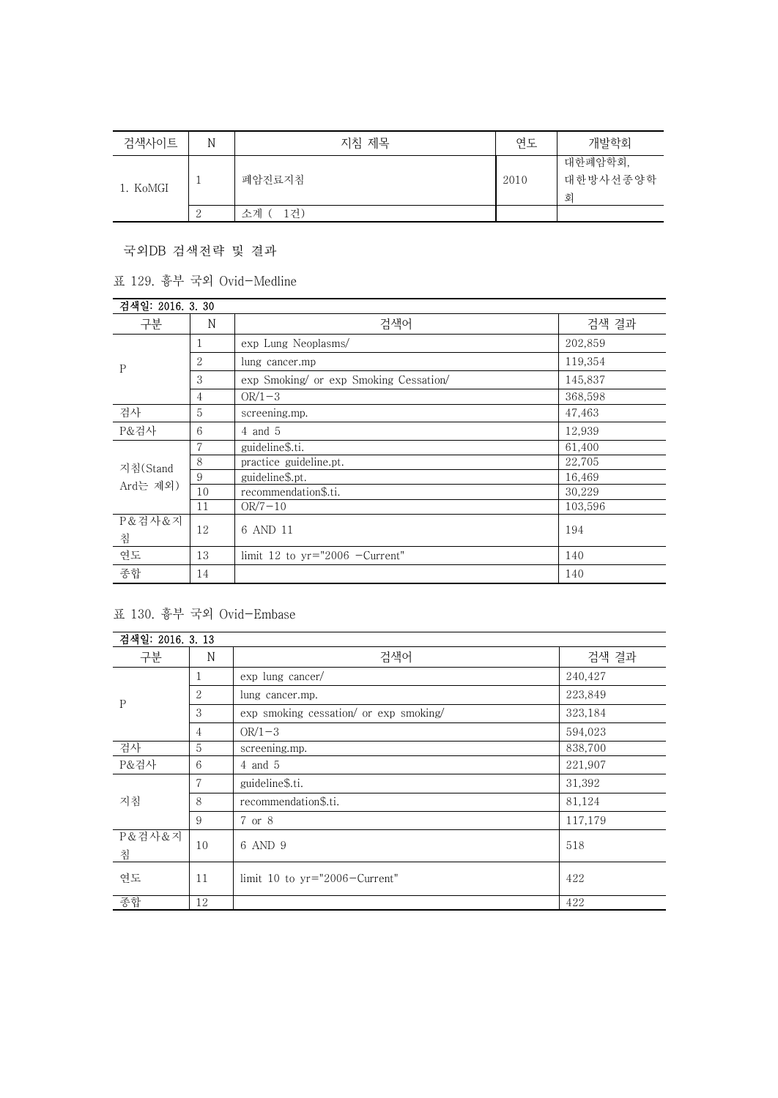| 검색사이트    | N             | 지침 제목     | 연도   | 개발학회                     |
|----------|---------------|-----------|------|--------------------------|
| 1. KoMGI |               | 폐암진료지침    | 2010 | 대한폐암학회,<br>대한방사선종양학<br>회 |
|          | $\Omega$<br>∠ | .거)<br>소계 |      |                          |

국외DB 검색전략 및 결과

표 129. 흉부 국외 Ovid-Medline

| 검색일: 2016. 3. 30     |    |                                        |         |
|----------------------|----|----------------------------------------|---------|
| 구분                   | N  | 검색어                                    | 검색 결과   |
| $\mathbf{P}$         |    | exp Lung Neoplasms/                    | 202,859 |
|                      | 2  | lung cancer.mp                         | 119,354 |
|                      | 3  | exp Smoking/ or exp Smoking Cessation/ | 145,837 |
|                      | 4  | $OR/1-3$                               | 368,598 |
| 검사                   | 5  | screening.mp.                          | 47,463  |
| P&검사                 | 6  | 4 and 5                                | 12,939  |
| 지침(Stand<br>Ard는 제외) | 7  | guideline\$.ti.                        | 61,400  |
|                      | 8  | practice guideline.pt.                 | 22,705  |
|                      | 9  | guideline\$.pt.                        | 16,469  |
|                      | 10 | recommendation\$.ti.                   | 30,229  |
|                      | 11 | $OR/7-10$                              | 103,596 |
| P&검사&지               | 12 | 6 AND 11                               | 194     |
| 침                    |    |                                        |         |
| 연도                   | 13 | limit 12 to $yr="2006$ -Current"       | 140     |
| 종합                   | 14 |                                        | 140     |

## 표 130. 흉부 국외 Ovid-Embase

| 검색일: 2016. 3. 13 |                |                                        |         |
|------------------|----------------|----------------------------------------|---------|
| 구분               | N              | 검색어                                    | 검색 결과   |
| $\mathbf{P}$     | 1              | $\exp$ lung cancer/                    | 240,427 |
|                  | $\overline{2}$ | lung cancer.mp.                        | 223,849 |
|                  | 3              | exp smoking cessation/ or exp smoking/ | 323,184 |
|                  | $\overline{4}$ | $OR/1-3$                               | 594,023 |
| 검사               | 5              | screening.mp.                          | 838,700 |
| P&검사             | 6              | $4$ and $5$                            | 221,907 |
| 지침               | 7              | guideline\$.ti.                        | 31,392  |
|                  | 8              | recommendation\$.ti.                   | 81,124  |
|                  | 9              | 7 or 8                                 | 117,179 |
| P&검사&지<br>침      | 10             | 6 AND 9                                | 518     |
| 연도               | 11             | limit 10 to $yr="2006-Current"$        | 422     |
| 종합               | 12             |                                        | 422     |